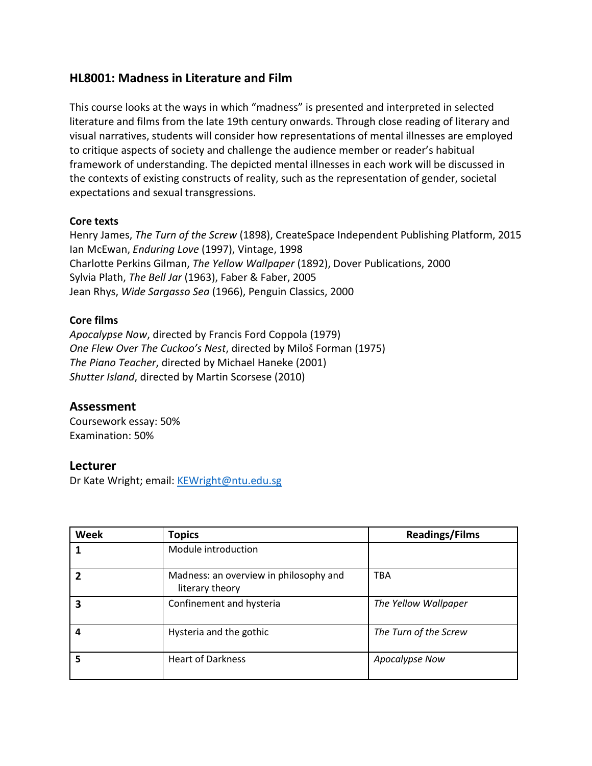# **HL8001: Madness in Literature and Film**

This course looks at the ways in which "madness" is presented and interpreted in selected literature and films from the late 19th century onwards. Through close reading of literary and visual narratives, students will consider how representations of mental illnesses are employed to critique aspects of society and challenge the audience member or reader's habitual framework of understanding. The depicted mental illnesses in each work will be discussed in the contexts of existing constructs of reality, such as the representation of gender, societal expectations and sexual transgressions.

### **Core texts**

Henry James, *The Turn of the Screw* (1898), CreateSpace Independent Publishing Platform, 2015 Ian McEwan, *Enduring Love* (1997), Vintage, 1998 Charlotte Perkins Gilman, *The Yellow Wallpaper* (1892), Dover Publications, 2000 Sylvia Plath, *The Bell Jar* (1963), Faber & Faber, 2005 Jean Rhys, *Wide Sargasso Sea* (1966), Penguin Classics, 2000

### **Core films**

*Apocalypse Now*, directed by Francis Ford Coppola (1979) *One Flew Over The Cuckoo's Nest*, directed by Miloš Forman (1975) *The Piano Teacher*, directed by Michael Haneke (2001) *Shutter Island*, directed by Martin Scorsese (2010)

# **Assessment**

Coursework essay: 50% Examination: 50%

# **Lecturer**

Dr Kate Wright; email: [KEWright@ntu.edu.sg](mailto:KEWright@ntu.edu.sg)

| <b>Week</b> | <b>Topics</b>                                             | <b>Readings/Films</b> |
|-------------|-----------------------------------------------------------|-----------------------|
|             | Module introduction                                       |                       |
|             | Madness: an overview in philosophy and<br>literary theory | <b>TBA</b>            |
| 3           | Confinement and hysteria                                  | The Yellow Wallpaper  |
| 4           | Hysteria and the gothic                                   | The Turn of the Screw |
| 5           | <b>Heart of Darkness</b>                                  | Apocalypse Now        |